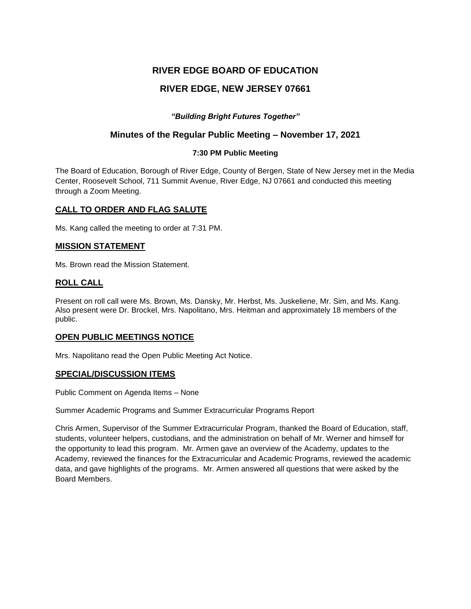# **RIVER EDGE BOARD OF EDUCATION**

# **RIVER EDGE, NEW JERSEY 07661**

## *"Building Bright Futures Together"*

# **Minutes of the Regular Public Meeting – November 17, 2021**

### **7:30 PM Public Meeting**

The Board of Education, Borough of River Edge, County of Bergen, State of New Jersey met in the Media Center, Roosevelt School, 711 Summit Avenue, River Edge, NJ 07661 and conducted this meeting through a Zoom Meeting.

### **CALL TO ORDER AND FLAG SALUTE**

Ms. Kang called the meeting to order at 7:31 PM.

### **MISSION STATEMENT**

Ms. Brown read the Mission Statement.

### **ROLL CALL**

Present on roll call were Ms. Brown, Ms. Dansky, Mr. Herbst, Ms. Juskeliene, Mr. Sim, and Ms. Kang. Also present were Dr. Brockel, Mrs. Napolitano, Mrs. Heitman and approximately 18 members of the public.

### **OPEN PUBLIC MEETINGS NOTICE**

Mrs. Napolitano read the Open Public Meeting Act Notice.

### **SPECIAL/DISCUSSION ITEMS**

Public Comment on Agenda Items – None

Summer Academic Programs and Summer Extracurricular Programs Report

Chris Armen, Supervisor of the Summer Extracurricular Program, thanked the Board of Education, staff, students, volunteer helpers, custodians, and the administration on behalf of Mr. Werner and himself for the opportunity to lead this program. Mr. Armen gave an overview of the Academy, updates to the Academy, reviewed the finances for the Extracurricular and Academic Programs, reviewed the academic data, and gave highlights of the programs. Mr. Armen answered all questions that were asked by the Board Members.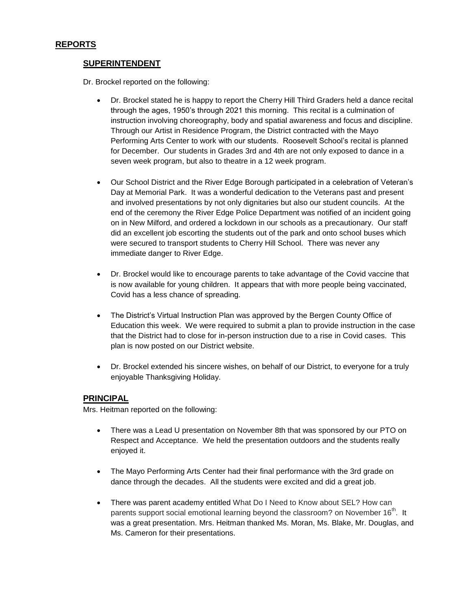### **SUPERINTENDENT**

Dr. Brockel reported on the following:

- Dr. Brockel stated he is happy to report the Cherry Hill Third Graders held a dance recital through the ages, 1950's through 2021 this morning. This recital is a culmination of instruction involving choreography, body and spatial awareness and focus and discipline. Through our Artist in Residence Program, the District contracted with the Mayo Performing Arts Center to work with our students. Roosevelt School's recital is planned for December. Our students in Grades 3rd and 4th are not only exposed to dance in a seven week program, but also to theatre in a 12 week program.
- Our School District and the River Edge Borough participated in a celebration of Veteran's Day at Memorial Park. It was a wonderful dedication to the Veterans past and present and involved presentations by not only dignitaries but also our student councils. At the end of the ceremony the River Edge Police Department was notified of an incident going on in New Milford, and ordered a lockdown in our schools as a precautionary. Our staff did an excellent job escorting the students out of the park and onto school buses which were secured to transport students to Cherry Hill School. There was never any immediate danger to River Edge.
- Dr. Brockel would like to encourage parents to take advantage of the Covid vaccine that is now available for young children. It appears that with more people being vaccinated, Covid has a less chance of spreading.
- The District's Virtual Instruction Plan was approved by the Bergen County Office of Education this week. We were required to submit a plan to provide instruction in the case that the District had to close for in-person instruction due to a rise in Covid cases. This plan is now posted on our District website.
- Dr. Brockel extended his sincere wishes, on behalf of our District, to everyone for a truly enjoyable Thanksgiving Holiday.

### **PRINCIPAL**

Mrs. Heitman reported on the following:

- There was a Lead U presentation on November 8th that was sponsored by our PTO on Respect and Acceptance. We held the presentation outdoors and the students really enjoyed it.
- The Mayo Performing Arts Center had their final performance with the 3rd grade on dance through the decades. All the students were excited and did a great job.
- There was parent academy entitled What Do I Need to Know about SEL? How can parents support social emotional learning beyond the classroom? on November 16<sup>th</sup>. It was a great presentation. Mrs. Heitman thanked Ms. Moran, Ms. Blake, Mr. Douglas, and Ms. Cameron for their presentations.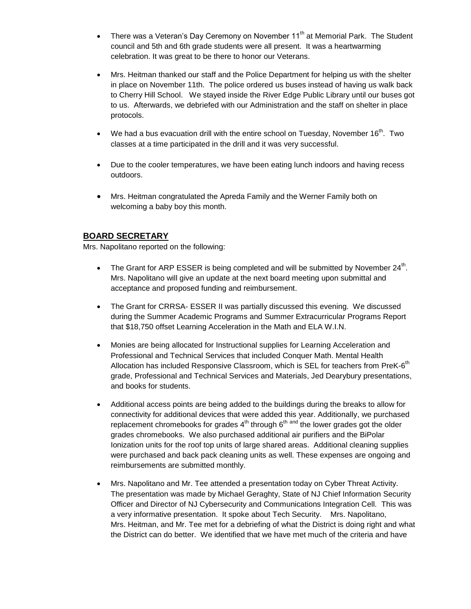- There was a Veteran's Day Ceremony on November 11<sup>th</sup> at Memorial Park. The Student council and 5th and 6th grade students were all present. It was a heartwarming celebration. It was great to be there to honor our Veterans.
- Mrs. Heitman thanked our staff and the Police Department for helping us with the shelter in place on November 11th. The police ordered us buses instead of having us walk back to Cherry Hill School. We stayed inside the River Edge Public Library until our buses got to us. Afterwards, we debriefed with our Administration and the staff on shelter in place protocols.
- We had a bus evacuation drill with the entire school on Tuesday, November 16<sup>th</sup>. Two classes at a time participated in the drill and it was very successful.
- Due to the cooler temperatures, we have been eating lunch indoors and having recess outdoors.
- Mrs. Heitman congratulated the Apreda Family and the Werner Family both on welcoming a baby boy this month.

### **BOARD SECRETARY**

Mrs. Napolitano reported on the following:

- The Grant for ARP ESSER is being completed and will be submitted by November  $24^{\text{th}}$ . Mrs. Napolitano will give an update at the next board meeting upon submittal and acceptance and proposed funding and reimbursement.
- The Grant for CRRSA- ESSER II was partially discussed this evening. We discussed during the Summer Academic Programs and Summer Extracurricular Programs Report that \$18,750 offset Learning Acceleration in the Math and ELA W.I.N.
- Monies are being allocated for Instructional supplies for Learning Acceleration and Professional and Technical Services that included Conquer Math. Mental Health Allocation has included Responsive Classroom, which is SEL for teachers from PreK-6<sup>th</sup> grade, Professional and Technical Services and Materials, Jed Dearybury presentations, and books for students.
- Additional access points are being added to the buildings during the breaks to allow for connectivity for additional devices that were added this year. Additionally, we purchased replacement chromebooks for grades  $4^{\text{th}}$  through  $6^{\text{th}}$  and the lower grades got the older grades chromebooks. We also purchased additional air purifiers and the BiPolar Ionization units for the roof top units of large shared areas. Additional cleaning supplies were purchased and back pack cleaning units as well. These expenses are ongoing and reimbursements are submitted monthly.
- Mrs. Napolitano and Mr. Tee attended a presentation today on Cyber Threat Activity. The presentation was made by Michael Geraghty, State of NJ Chief Information Security Officer and Director of NJ Cybersecurity and Communications Integration Cell. This was a very informative presentation. It spoke about Tech Security. Mrs. Napolitano, Mrs. Heitman, and Mr. Tee met for a debriefing of what the District is doing right and what the District can do better. We identified that we have met much of the criteria and have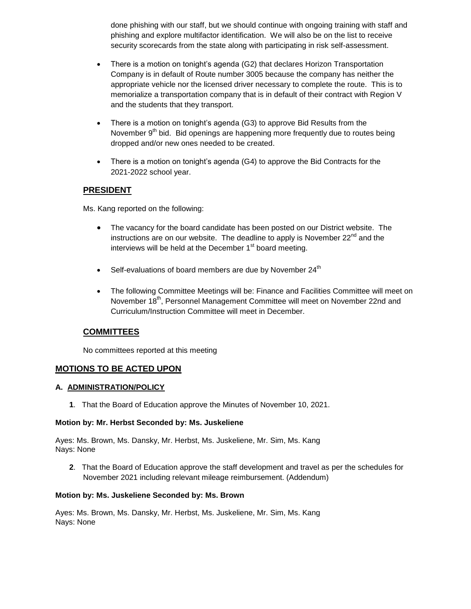done phishing with our staff, but we should continue with ongoing training with staff and phishing and explore multifactor identification. We will also be on the list to receive security scorecards from the state along with participating in risk self-assessment.

- There is a motion on tonight's agenda (G2) that declares Horizon Transportation Company is in default of Route number 3005 because the company has neither the appropriate vehicle nor the licensed driver necessary to complete the route. This is to memorialize a transportation company that is in default of their contract with Region V and the students that they transport.
- There is a motion on tonight's agenda (G3) to approve Bid Results from the November 9<sup>th</sup> bid. Bid openings are happening more frequently due to routes being dropped and/or new ones needed to be created.
- There is a motion on tonight's agenda (G4) to approve the Bid Contracts for the 2021-2022 school year.

# **PRESIDENT**

Ms. Kang reported on the following:

- The vacancy for the board candidate has been posted on our District website. The instructions are on our website. The deadline to apply is November  $22^{nd}$  and the interviews will be held at the December  $1<sup>st</sup>$  board meeting.
- $\bullet$  Self-evaluations of board members are due by November 24<sup>th</sup>
- The following Committee Meetings will be: Finance and Facilities Committee will meet on November 18<sup>th</sup>, Personnel Management Committee will meet on November 22nd and Curriculum/Instruction Committee will meet in December.

## **COMMITTEES**

No committees reported at this meeting

### **MOTIONS TO BE ACTED UPON**

### **A. ADMINISTRATION/POLICY**

**1**. That the Board of Education approve the Minutes of November 10, 2021.

#### **Motion by: Mr. Herbst Seconded by: Ms. Juskeliene**

Ayes: Ms. Brown, Ms. Dansky, Mr. Herbst, Ms. Juskeliene, Mr. Sim, Ms. Kang Nays: None

**2**. That the Board of Education approve the staff development and travel as per the schedules for November 2021 including relevant mileage reimbursement. (Addendum)

#### **Motion by: Ms. Juskeliene Seconded by: Ms. Brown**

Ayes: Ms. Brown, Ms. Dansky, Mr. Herbst, Ms. Juskeliene, Mr. Sim, Ms. Kang Nays: None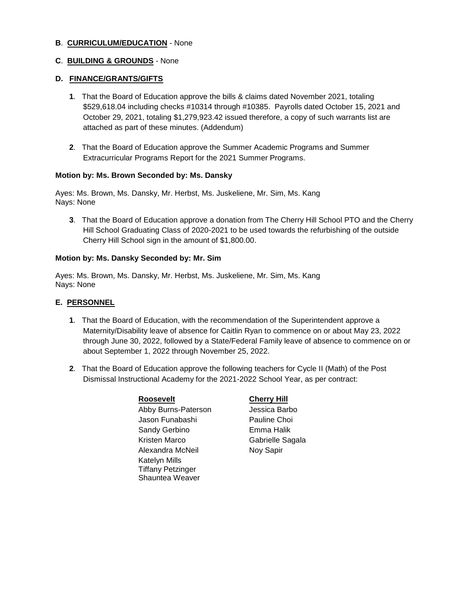### **B**. **CURRICULUM/EDUCATION** - None

#### **C**. **BUILDING & GROUNDS** - None

#### **D. FINANCE/GRANTS/GIFTS**

- **1**. That the Board of Education approve the bills & claims dated November 2021, totaling \$529,618.04 including checks #10314 through #10385. Payrolls dated October 15, 2021 and October 29, 2021, totaling \$1,279,923.42 issued therefore, a copy of such warrants list are attached as part of these minutes. (Addendum)
- **2**. That the Board of Education approve the Summer Academic Programs and Summer Extracurricular Programs Report for the 2021 Summer Programs.

#### **Motion by: Ms. Brown Seconded by: Ms. Dansky**

Ayes: Ms. Brown, Ms. Dansky, Mr. Herbst, Ms. Juskeliene, Mr. Sim, Ms. Kang Nays: None

**3**. That the Board of Education approve a donation from The Cherry Hill School PTO and the Cherry Hill School Graduating Class of 2020-2021 to be used towards the refurbishing of the outside Cherry Hill School sign in the amount of \$1,800.00.

#### **Motion by: Ms. Dansky Seconded by: Mr. Sim**

Ayes: Ms. Brown, Ms. Dansky, Mr. Herbst, Ms. Juskeliene, Mr. Sim, Ms. Kang Nays: None

#### **E. PERSONNEL**

- **1**. That the Board of Education, with the recommendation of the Superintendent approve a Maternity/Disability leave of absence for Caitlin Ryan to commence on or about May 23, 2022 through June 30, 2022, followed by a State/Federal Family leave of absence to commence on or about September 1, 2022 through November 25, 2022.
- **2**. That the Board of Education approve the following teachers for Cycle II (Math) of the Post Dismissal Instructional Academy for the 2021-2022 School Year, as per contract:

| Roosevelt                |
|--------------------------|
| Abby Burns-Paterson      |
| Jason Funabashi          |
| Sandy Gerbino            |
| Kristen Marco            |
| Alexandra McNeil         |
| Katelyn Mills            |
| <b>Tiffany Petzinger</b> |
| Shauntea Weaver          |

#### **Cherry Hill**

Jessica Barbo Pauline Choi Emma Halik Gabrielle Sagala Noy Sapir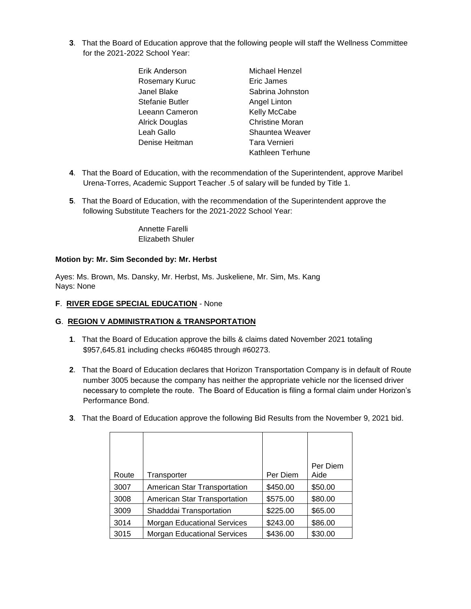- **3**. That the Board of Education approve that the following people will staff the Wellness Committee for the 2021-2022 School Year:
	- Erik Anderson Michael Henzel Rosemary Kuruc **Eric James** Janel Blake Sabrina Johnston Stefanie Butler **Angel Linton** Leeann Cameron Kelly McCabe Alrick Douglas Christine Moran Leah Gallo **Shauntea Weaver** Denise Heitman Tara Vernieri Kathleen Terhune
- **4**. That the Board of Education, with the recommendation of the Superintendent, approve Maribel Urena-Torres, Academic Support Teacher .5 of salary will be funded by Title 1.
- **5**. That the Board of Education, with the recommendation of the Superintendent approve the following Substitute Teachers for the 2021-2022 School Year:

Annette Farelli Elizabeth Shuler

#### **Motion by: Mr. Sim Seconded by: Mr. Herbst**

Ayes: Ms. Brown, Ms. Dansky, Mr. Herbst, Ms. Juskeliene, Mr. Sim, Ms. Kang Nays: None

#### **F**. **RIVER EDGE SPECIAL EDUCATION** - None

### **G**. **REGION V ADMINISTRATION & TRANSPORTATION**

- **1**. That the Board of Education approve the bills & claims dated November 2021 totaling \$957,645.81 including checks #60485 through #60273.
- **2**. That the Board of Education declares that Horizon Transportation Company is in default of Route number 3005 because the company has neither the appropriate vehicle nor the licensed driver necessary to complete the route. The Board of Education is filing a formal claim under Horizon's Performance Bond.
- **3**. That the Board of Education approve the following Bid Results from the November 9, 2021 bid.

| Route | Transporter                        | Per Diem | Per Diem<br>Aide |
|-------|------------------------------------|----------|------------------|
| 3007  | American Star Transportation       | \$450.00 | \$50.00          |
| 3008  | American Star Transportation       | \$575.00 | \$80.00          |
| 3009  | Shadddai Transportation            | \$225.00 | \$65.00          |
| 3014  | <b>Morgan Educational Services</b> | \$243.00 | \$86.00          |
| 3015  | <b>Morgan Educational Services</b> | \$436.00 | \$30.00          |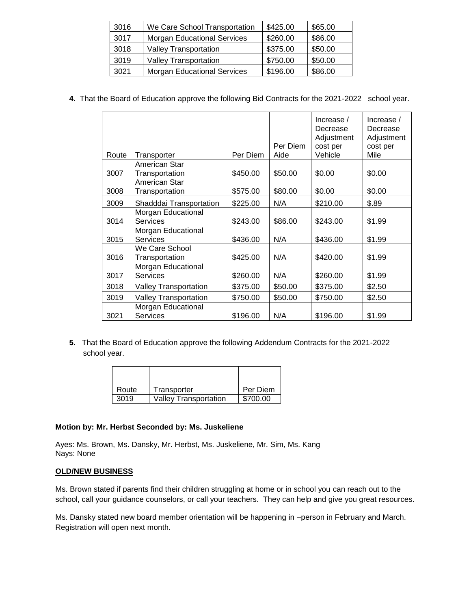| 3016 | We Care School Transportation      | \$425.00 | \$65.00 |
|------|------------------------------------|----------|---------|
| 3017 | <b>Morgan Educational Services</b> | \$260.00 | \$86.00 |
| 3018 | <b>Valley Transportation</b>       | \$375.00 | \$50.00 |
| 3019 | <b>Valley Transportation</b>       | \$750.00 | \$50.00 |
| 3021 | <b>Morgan Educational Services</b> | \$196.00 | \$86.00 |

**4**. That the Board of Education approve the following Bid Contracts for the 2021-2022 school year.

| Route | Transporter                           | Per Diem | Per Diem<br>Aide | Increase $/$<br>Decrease<br>Adjustment<br>cost per<br>Vehicle | Increase /<br>Decrease<br>Adjustment<br>cost per<br>Mile |
|-------|---------------------------------------|----------|------------------|---------------------------------------------------------------|----------------------------------------------------------|
|       | American Star                         |          |                  |                                                               |                                                          |
| 3007  | Transportation                        | \$450.00 | \$50.00          | \$0.00                                                        | \$0.00                                                   |
| 3008  | American Star<br>Transportation       | \$575.00 | \$80.00          | \$0.00                                                        | \$0.00                                                   |
| 3009  | Shadddai Transportation               | \$225.00 | N/A              | \$210.00                                                      | \$.89                                                    |
| 3014  | Morgan Educational<br>Services        | \$243.00 | \$86.00          | \$243.00                                                      | \$1.99                                                   |
| 3015  | Morgan Educational<br><b>Services</b> | \$436.00 | N/A              | \$436.00                                                      | \$1.99                                                   |
| 3016  | We Care School<br>Transportation      | \$425.00 | N/A              | \$420.00                                                      | \$1.99                                                   |
| 3017  | Morgan Educational<br><b>Services</b> | \$260.00 | N/A              | \$260.00                                                      | \$1.99                                                   |
| 3018  | <b>Valley Transportation</b>          | \$375.00 | \$50.00          | \$375.00                                                      | \$2.50                                                   |
| 3019  | <b>Valley Transportation</b>          | \$750.00 | \$50.00          | \$750.00                                                      | \$2.50                                                   |
| 3021  | Morgan Educational<br><b>Services</b> | \$196.00 | N/A              | \$196.00                                                      | \$1.99                                                   |

**5**. That the Board of Education approve the following Addendum Contracts for the 2021-2022 school year.

| Route | Transporter                  | Per Diem |
|-------|------------------------------|----------|
| 3019  | <b>Valley Transportation</b> | \$700.00 |

### **Motion by: Mr. Herbst Seconded by: Ms. Juskeliene**

Ayes: Ms. Brown, Ms. Dansky, Mr. Herbst, Ms. Juskeliene, Mr. Sim, Ms. Kang Nays: None

### **OLD/NEW BUSINESS**

Ms. Brown stated if parents find their children struggling at home or in school you can reach out to the school, call your guidance counselors, or call your teachers. They can help and give you great resources.

Ms. Dansky stated new board member orientation will be happening in –person in February and March. Registration will open next month.